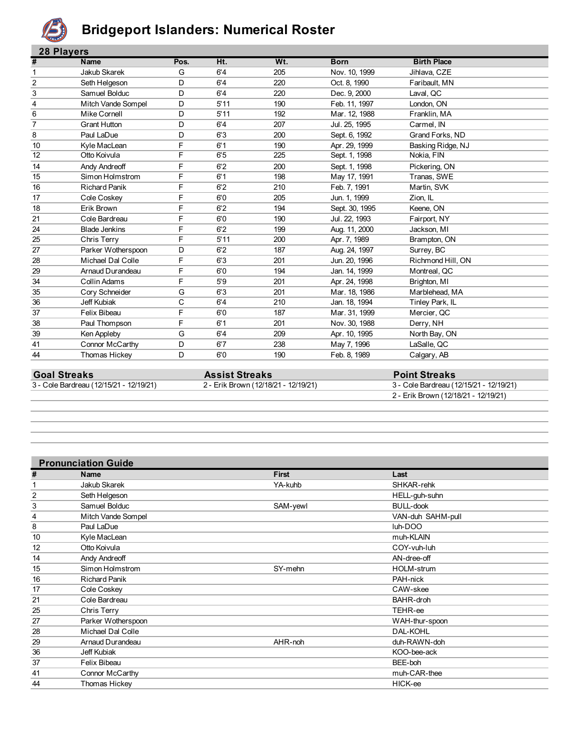

### **Bridgeport Islanders: Numerical Roster**

|    | <b>28 Plavers</b>    |      |      |     |                |                    |  |  |
|----|----------------------|------|------|-----|----------------|--------------------|--|--|
| #  | <b>Name</b>          | Pos. | Ht.  | Wt. | <b>Born</b>    | <b>Birth Place</b> |  |  |
| 1  | Jakub Skarek         | G    | 6'4  | 205 | Nov. 10, 1999  | Jihlava, CZE       |  |  |
| 2  | Seth Helgeson        | D    | 6'4  | 220 | Oct. 8, 1990   | Faribault, MN      |  |  |
| 3  | Samuel Bolduc        | D    | 6'4  | 220 | Dec. 9, 2000   | Laval, QC          |  |  |
| 4  | Mitch Vande Sompel   | D    | 5'11 | 190 | Feb. 11, 1997  | London, ON         |  |  |
| 6  | Mike Cornell         | D    | 5'11 | 192 | Mar. 12, 1988  | Franklin, MA       |  |  |
| 7  | <b>Grant Hutton</b>  | D    | 6'4  | 207 | Jul. 25, 1995  | Carmel, IN         |  |  |
| 8  | Paul LaDue           | D    | 6'3  | 200 | Sept. 6, 1992  | Grand Forks, ND    |  |  |
| 10 | Kyle MacLean         | F    | 6'1  | 190 | Apr. 29, 1999  | Basking Ridge, NJ  |  |  |
| 12 | Otto Koivula         | F    | 6'5  | 225 | Sept. 1, 1998  | Nokia, FIN         |  |  |
| 14 | <b>Andy Andreoff</b> | F    | 6'2  | 200 | Sept. 1, 1998  | Pickering, ON      |  |  |
| 15 | Simon Holmstrom      | F    | 6'1  | 198 | May 17, 1991   | Tranas, SWE        |  |  |
| 16 | <b>Richard Panik</b> | F    | 6'2  | 210 | Feb. 7, 1991   | Martin, SVK        |  |  |
| 17 | Cole Coskey          | F    | 6'0  | 205 | Jun. 1, 1999   | Zion, IL           |  |  |
| 18 | Erik Brown           | F    | 6'2  | 194 | Sept. 30, 1995 | Keene, ON          |  |  |
| 21 | Cole Bardreau        | F    | 6'0  | 190 | Jul. 22, 1993  | Fairport, NY       |  |  |
| 24 | <b>Blade Jenkins</b> | F    | 6'2  | 199 | Aug. 11, 2000  | Jackson, MI        |  |  |
| 25 | Chris Terry          | F    | 5'11 | 200 | Apr. 7, 1989   | Brampton, ON       |  |  |
| 27 | Parker Wotherspoon   | D    | 6'2  | 187 | Aug. 24, 1997  | Surrey, BC         |  |  |
| 28 | Michael Dal Colle    | F    | 6'3  | 201 | Jun. 20, 1996  | Richmond Hill, ON  |  |  |
| 29 | Arnaud Durandeau     | F    | 6'0  | 194 | Jan. 14, 1999  | Montreal, QC       |  |  |
| 34 | Collin Adams         | F    | 5'9  | 201 | Apr. 24, 1998  | Brighton, MI       |  |  |
| 35 | Cory Schneider       | G    | 6'3  | 201 | Mar. 18, 1986  | Marblehead, MA     |  |  |
| 36 | Jeff Kubiak          | С    | 6'4  | 210 | Jan. 18, 1994  | Tinley Park, IL    |  |  |
| 37 | Felix Bibeau         | F    | 6'0  | 187 | Mar. 31, 1999  | Mercier, QC        |  |  |
| 38 | Paul Thompson        | F    | 6'1  | 201 | Nov. 30, 1988  | Derry, NH          |  |  |
| 39 | Ken Appleby          | G    | 6'4  | 209 | Apr. 10, 1995  | North Bay, ON      |  |  |
| 41 | Connor McCarthy      | D    | 6'7  | 238 | May 7, 1996    | LaSalle, QC        |  |  |
| 44 | Thomas Hickey        | D    | 6'0  | 190 | Feb. 8, 1989   | Calgary, AB        |  |  |

| <b>Goal Streaks</b>                     | <b>Assist Streaks</b>                | <b>Point Streaks</b>                    |
|-----------------------------------------|--------------------------------------|-----------------------------------------|
| 3 - Cole Bardreau (12/15/21 - 12/19/21) | 2 - Erik Brown (12/18/21 - 12/19/21) | 3 - Cole Bardreau (12/15/21 - 12/19/21) |
|                                         |                                      | 2 - Erik Brown (12/18/21 - 12/19/21)    |

|    | <b>Pronunciation Guide</b> |              |                   |  |  |  |
|----|----------------------------|--------------|-------------------|--|--|--|
| #  | Name                       | <b>First</b> | Last              |  |  |  |
|    | Jakub Skarek               | YA-kuhb      | SHKAR-rehk        |  |  |  |
| 2  | Seth Helgeson              |              | HELL-guh-suhn     |  |  |  |
| 3  | Samuel Bolduc              | SAM-yewl     | <b>BULL-dook</b>  |  |  |  |
| 4  | Mitch Vande Sompel         |              | VAN-duh SAHM-pull |  |  |  |
| 8  | Paul LaDue                 |              | luh-DOO           |  |  |  |
| 10 | Kyle MacLean               |              | muh-KLAIN         |  |  |  |
| 12 | Otto Koivula               |              | COY-vuh-luh       |  |  |  |
| 14 | Andy Andreoff              |              | AN-dree-off       |  |  |  |
| 15 | Simon Holmstrom            | SY-mehn      | <b>HOLM-strum</b> |  |  |  |
| 16 | <b>Richard Panik</b>       |              | PAH-nick          |  |  |  |
| 17 | Cole Coskey                |              | CAW-skee          |  |  |  |
| 21 | Cole Bardreau              |              | BAHR-droh         |  |  |  |
| 25 | Chris Terry                |              | TEHR-ee           |  |  |  |
| 27 | Parker Wotherspoon         |              | WAH-thur-spoon    |  |  |  |
| 28 | Michael Dal Colle          |              | <b>DAL-KOHL</b>   |  |  |  |
| 29 | Arnaud Durandeau           | AHR-noh      | duh-RAWN-doh      |  |  |  |
| 36 | Jeff Kubiak                |              | KOO-bee-ack       |  |  |  |
| 37 | Felix Bibeau               |              | BEE-boh           |  |  |  |
| 41 | Connor McCarthy            |              | muh-CAR-thee      |  |  |  |
| 44 | Thomas Hickey              |              | HICK-ee           |  |  |  |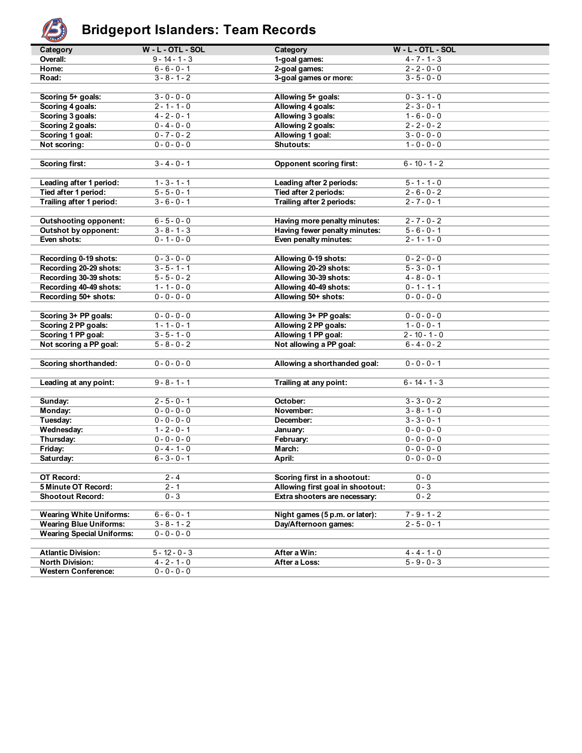

# **Bridgeport Islanders: Team Records**

| تخلفت                            |                     |                                  |                     |
|----------------------------------|---------------------|----------------------------------|---------------------|
| Category                         | $W - L - OTL - SOL$ | Category                         | $W - L - OTL - SOL$ |
| Overall:                         | $9 - 14 - 1 - 3$    | 1-goal games:                    | $4 - 7 - 1 - 3$     |
| Home:                            | $6 - 6 - 0 - 1$     | 2-goal games:                    | $2 - 2 - 0 - 0$     |
| Road:                            | $3 - 8 - 1 - 2$     | 3-goal games or more:            | $3 - 5 - 0 - 0$     |
|                                  |                     |                                  |                     |
| Scoring 5+ goals:                | $3 - 0 - 0 - 0$     | Allowing 5+ goals:               | $0 - 3 - 1 - 0$     |
| Scoring 4 goals:                 | $2 - 1 - 1 - 0$     | Allowing 4 goals:                | $2 - 3 - 0 - 1$     |
| Scoring 3 goals:                 | $4 - 2 - 0 - 1$     | Allowing 3 goals:                | $1 - 6 - 0 - 0$     |
| Scoring 2 goals:                 | $0 - 4 - 0 - 0$     | Allowing 2 goals:                | $2 - 2 - 0 - 2$     |
| Scoring 1 goal:                  | $0 - 7 - 0 - 2$     | Allowing 1 goal:                 | $3 - 0 - 0 - 0$     |
| Not scoring:                     | $0 - 0 - 0 - 0$     | Shutouts:                        | $1 - 0 - 0 - 0$     |
|                                  |                     |                                  |                     |
| <b>Scoring first:</b>            | $3 - 4 - 0 - 1$     | <b>Opponent scoring first:</b>   | $6 - 10 - 1 - 2$    |
|                                  |                     |                                  |                     |
| Leading after 1 period:          | $1 - 3 - 1 - 1$     | Leading after 2 periods:         | $5 - 1 - 1 - 0$     |
| Tied after 1 period:             | $5 - 5 - 0 - 1$     | Tied after 2 periods:            | $2 - 6 - 0 - 2$     |
| Trailing after 1 period:         | $3 - 6 - 0 - 1$     | Trailing after 2 periods:        | $2 - 7 - 0 - 1$     |
|                                  |                     |                                  |                     |
| <b>Outshooting opponent:</b>     | $6 - 5 - 0 - 0$     | Having more penalty minutes:     | $2 - 7 - 0 - 2$     |
| Outshot by opponent:             | $3 - 8 - 1 - 3$     | Having fewer penalty minutes:    | $5 - 6 - 0 - 1$     |
| Even shots:                      | $0 - 1 - 0 - 0$     | Even penalty minutes:            | $2 - 1 - 1 - 0$     |
|                                  |                     |                                  |                     |
|                                  | $0 - 3 - 0 - 0$     |                                  | $0 - 2 - 0 - 0$     |
| Recording 0-19 shots:            |                     | Allowing 0-19 shots:             |                     |
| Recording 20-29 shots:           | $3 - 5 - 1 - 1$     | Allowing 20-29 shots:            | $5 - 3 - 0 - 1$     |
| Recording 30-39 shots:           | $5 - 5 - 0 - 2$     | Allowing 30-39 shots:            | $4 - 8 - 0 - 1$     |
| Recording 40-49 shots:           | $1 - 1 - 0 - 0$     | Allowing 40-49 shots:            | $0 - 1 - 1 - 1$     |
| Recording 50+ shots:             | $0 - 0 - 0 - 0$     | Allowing 50+ shots:              | $0 - 0 - 0 - 0$     |
|                                  |                     |                                  |                     |
| Scoring 3+ PP goals:             | $0 - 0 - 0 - 0$     | Allowing 3+ PP goals:            | $0 - 0 - 0 - 0$     |
| Scoring 2 PP goals:              | $1 - 1 - 0 - 1$     | Allowing 2 PP goals:             | $1 - 0 - 0 - 1$     |
| Scoring 1 PP goal:               | $3 - 5 - 1 - 0$     | Allowing 1 PP goal:              | $2 - 10 - 1 - 0$    |
| Not scoring a PP goal:           | $5 - 8 - 0 - 2$     | Not allowing a PP goal:          | $6 - 4 - 0 - 2$     |
|                                  |                     |                                  |                     |
| Scoring shorthanded:             | $0 - 0 - 0 - 0$     | Allowing a shorthanded goal:     | $0 - 0 - 0 - 1$     |
|                                  |                     |                                  |                     |
| Leading at any point:            | $9 - 8 - 1 - 1$     | Trailing at any point:           | $6 - 14 - 1 - 3$    |
|                                  |                     |                                  |                     |
| Sunday:                          | $2 - 5 - 0 - 1$     | October:                         | $3 - 3 - 0 - 2$     |
| Monday:                          | $0 - 0 - 0 - 0$     | November:                        | $3 - 8 - 1 - 0$     |
| Tuesday:                         | $0 - 0 - 0 - 0$     | December:                        | $3 - 3 - 0 - 1$     |
| Wednesday:                       | $1 - 2 - 0 - 1$     | January:                         | $0 - 0 - 0 - 0$     |
| Thursday:                        | $0 - 0 - 0 - 0$     | February:                        | $0 - 0 - 0 - 0$     |
| Friday:                          | $0 - 4 - 1 - 0$     | March:                           | $0 - 0 - 0 - 0$     |
| Saturday:                        | $6 - 3 - 0 - 1$     | April:                           | $0 - 0 - 0 - 0$     |
|                                  |                     |                                  |                     |
| OT Record:                       | $2 - 4$             | Scoring first in a shootout:     | $0 - 0$             |
| 5 Minute OT Record:              | $2 - 1$             | Allowing first goal in shootout: | $0 - 3$             |
| <b>Shootout Record:</b>          | $0 - 3$             | Extra shooters are necessary:    | $0 - 2$             |
|                                  |                     |                                  |                     |
| <b>Wearing White Uniforms:</b>   | $6 - 6 - 0 - 1$     | Night games (5 p.m. or later):   | $7 - 9 - 1 - 2$     |
| <b>Wearing Blue Uniforms:</b>    | $3 - 8 - 1 - 2$     | Day/Afternoon games:             | $2 - 5 - 0 - 1$     |
| <b>Wearing Special Uniforms:</b> | $0 - 0 - 0 - 0$     |                                  |                     |
|                                  |                     |                                  |                     |
| <b>Atlantic Division:</b>        | $5 - 12 - 0 - 3$    | After a Win:                     | $4 - 4 - 1 - 0$     |
| <b>North Division:</b>           | $4 - 2 - 1 - 0$     | After a Loss:                    | $5 - 9 - 0 - 3$     |
| <b>Western Conference:</b>       | $0 - 0 - 0 - 0$     |                                  |                     |
|                                  |                     |                                  |                     |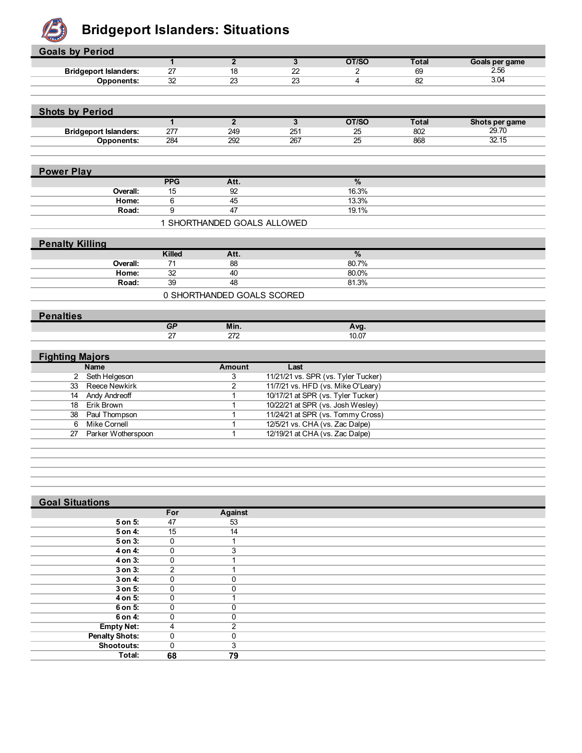

### **Bridgeport Islanders: Situations**

| <b>Goals by Period</b> |                              |                |                             |                                     |                                   |                 |                |
|------------------------|------------------------------|----------------|-----------------------------|-------------------------------------|-----------------------------------|-----------------|----------------|
|                        |                              | $\mathbf{1}$   | $\overline{2}$              | $\overline{3}$                      | OT/SO                             | <b>Total</b>    | Goals per game |
|                        | <b>Bridgeport Islanders:</b> | 27             | 18                          | 22                                  | $\overline{2}$                    | 69              | 2.56           |
|                        | Opponents:                   | 32             | $\overline{23}$             | $\overline{23}$                     | $\overline{4}$                    | $\overline{82}$ | 3.04           |
|                        |                              |                |                             |                                     |                                   |                 |                |
|                        |                              |                |                             |                                     |                                   |                 |                |
| <b>Shots by Period</b> |                              |                |                             |                                     |                                   |                 |                |
|                        |                              | $\overline{1}$ | $\overline{2}$              | $\overline{\mathbf{3}}$             | OT/SO                             | <b>Total</b>    | Shots per game |
|                        | <b>Bridgeport Islanders:</b> | 277            | 249                         | 251                                 | 25                                | 802             | 29.70          |
|                        | Opponents:                   | 284            | 292                         | 267                                 | 25                                | 868             | 32.15          |
|                        |                              |                |                             |                                     |                                   |                 |                |
|                        |                              |                |                             |                                     |                                   |                 |                |
| <b>Power Play</b>      |                              |                |                             |                                     |                                   |                 |                |
|                        |                              | <b>PPG</b>     | Att.                        |                                     | %                                 |                 |                |
|                        | Overall:                     | 15             | 92                          |                                     | 16.3%                             |                 |                |
|                        | Home:                        | 6              | 45                          |                                     | 13.3%                             |                 |                |
|                        | Road:                        | $\overline{9}$ | 47                          |                                     | 19.1%                             |                 |                |
|                        |                              |                | 1 SHORTHANDED GOALS ALLOWED |                                     |                                   |                 |                |
|                        |                              |                |                             |                                     |                                   |                 |                |
| <b>Penalty Killing</b> |                              |                |                             |                                     |                                   |                 |                |
|                        |                              | <b>Killed</b>  | Att.                        |                                     | %                                 |                 |                |
|                        | Overall:                     | 71             | 88                          |                                     | 80.7%                             |                 |                |
|                        | Home:                        | 32             | 40                          |                                     | 80.0%                             |                 |                |
|                        | Road:                        | 39             | 48                          |                                     | 81.3%                             |                 |                |
|                        |                              |                | 0 SHORTHANDED GOALS SCORED  |                                     |                                   |                 |                |
|                        |                              |                |                             |                                     |                                   |                 |                |
| <b>Penalties</b>       |                              |                |                             |                                     |                                   |                 |                |
|                        |                              | GP             | Min.                        |                                     | Avg.                              |                 |                |
|                        |                              | 27             | 272                         |                                     | 10.07                             |                 |                |
|                        |                              |                |                             |                                     |                                   |                 |                |
| <b>Fighting Majors</b> |                              |                |                             |                                     |                                   |                 |                |
|                        | <b>Name</b>                  |                | <b>Amount</b>               | Last                                |                                   |                 |                |
|                        | 2 Seth Helgeson              |                | 3                           | 11/21/21 vs. SPR (vs. Tyler Tucker) |                                   |                 |                |
| 33                     | Reece Newkirk                |                | $\overline{2}$              | 11/7/21 vs. HFD (vs. Mike O'Leary)  |                                   |                 |                |
| 14                     | <b>Andy Andreoff</b>         |                | $\mathbf{1}$                | 10/17/21 at SPR (vs. Tyler Tucker)  |                                   |                 |                |
| 18                     | Erik Brown                   |                | $\mathbf{1}$                | 10/22/21 at SPR (vs. Josh Wesley)   |                                   |                 |                |
| 38                     | Paul Thompson                |                | 1                           |                                     | 11/24/21 at SPR (vs. Tommy Cross) |                 |                |
| 6                      | <b>Mike Cornell</b>          |                | $\mathbf{1}$                | 12/5/21 vs. CHA (vs. Zac Dalpe)     |                                   |                 |                |
| 27                     | Parker Wotherspoon           |                | $\mathbf{1}$                | 12/19/21 at CHA (vs. Zac Dalpe)     |                                   |                 |                |
|                        |                              |                |                             |                                     |                                   |                 |                |
|                        |                              |                |                             |                                     |                                   |                 |                |
|                        |                              |                |                             |                                     |                                   |                 |                |

#### **Goal Situations**

| <b>AARTAINARAIN</b>   |              |          |  |
|-----------------------|--------------|----------|--|
|                       | For          | Against  |  |
| 5 on 5:               | 47           | 53       |  |
| 5 on 4:               | 15           | 14       |  |
| $5$ on $3$ :          | 0            |          |  |
| 4 on 4:               | 0            | 3        |  |
| 4 on 3:               | 0            |          |  |
| 3 on 3:               | 2            |          |  |
| 3 on 4:               | $\Omega$     |          |  |
| 3 on 5:               | 0            | $\Omega$ |  |
| 4 on 5:               | $\mathbf 0$  |          |  |
| 6 on 5:               | $\mathbf{0}$ | O        |  |
| 6 on 4:               | 0            | 0        |  |
| <b>Empty Net:</b>     | 4            | 2        |  |
| <b>Penalty Shots:</b> | 0            | 0        |  |
| <b>Shootouts:</b>     | 0            | 3        |  |
| Total:                | 68           | 79       |  |
|                       |              |          |  |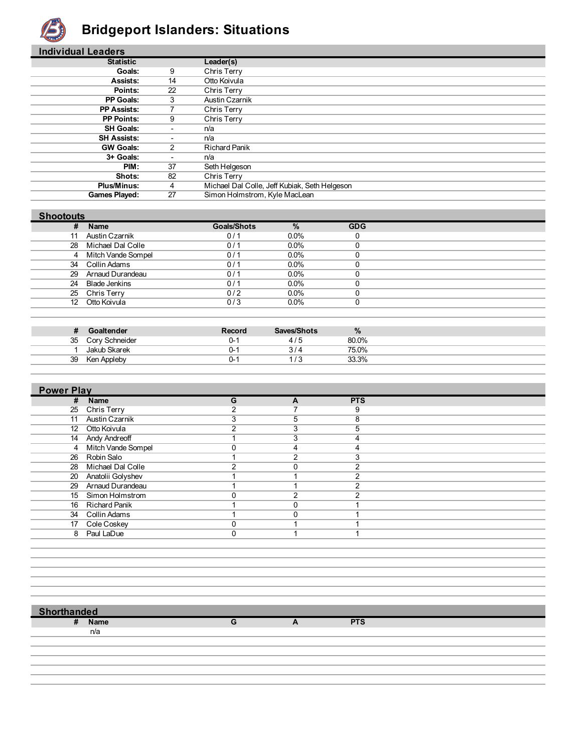

## **Bridgeport Islanders: Situations**

| <b>Individual Leaders</b> |                          |                                               |
|---------------------------|--------------------------|-----------------------------------------------|
| <b>Statistic</b>          |                          | Leader(s)                                     |
| <b>Goals:</b>             | 9                        | Chris Terry                                   |
| Assists:                  | 14                       | Otto Koivula                                  |
| Points:                   | 22                       | Chris Terry                                   |
| <b>PP Goals:</b>          | 3                        | Austin Czarnik                                |
| <b>PP Assists:</b>        |                          | Chris Terry                                   |
| <b>PP Points:</b>         | 9                        | Chris Terry                                   |
| <b>SH Goals:</b>          | $\overline{\phantom{0}}$ | n/a                                           |
| <b>SH Assists:</b>        | ٠                        | n/a                                           |
| <b>GW Goals:</b>          | 2                        | <b>Richard Panik</b>                          |
| 3+ Goals:                 | ٠                        | n/a                                           |
| PIM:                      | 37                       | Seth Helgeson                                 |
| Shots:                    | 82                       | Chris Terry                                   |
| <b>Plus/Minus:</b>        | 4                        | Michael Dal Colle, Jeff Kubiak, Seth Helgeson |
| <b>Games Played:</b>      | 27                       | Simon Holmstrom, Kyle MacLean                 |

#### **Shootouts**

| #  | <b>Name</b>          | <b>Goals/Shots</b> | %       | <b>GDG</b> |
|----|----------------------|--------------------|---------|------------|
| 11 | Austin Czarnik       | 0/1                | $0.0\%$ |            |
|    | 28 Michael Dal Colle | 0/1                | $0.0\%$ |            |
|    | 4 Mitch Vande Sompel | 0/1                | $0.0\%$ |            |
| 34 | Collin Adams         | 0/1                | $0.0\%$ |            |
|    | 29 Arnaud Durandeau  | 0/1                | $0.0\%$ |            |
| 24 | Blade Jenkins        | 0/1                | $0.0\%$ |            |
|    | 25 Chris Terry       | 0/2                | $0.0\%$ |            |
| 12 | Otto Koivula         | 0/3                | $0.0\%$ |            |
|    |                      |                    |         |            |

| Ш  | Goaltender     | Record | Saves/Shots | $\frac{9}{6}$ |
|----|----------------|--------|-------------|---------------|
| 35 | Cory Schneider |        | 4/5         | 80.0%         |
|    | Jakub Skarek   |        | ⊿ ر ح       | 75.0%         |
| 39 | Ken Appleby    |        |             | 33.3%         |

| <b>Power Play</b>       |   |               |            |  |  |
|-------------------------|---|---------------|------------|--|--|
| #<br><b>Name</b>        | G | A             | <b>PTS</b> |  |  |
| 25<br>Chris Terry       |   |               | 9          |  |  |
| Austin Czarnik          | 3 | 5             | 8          |  |  |
| 12 Otto Koivula         |   | 3             | 5          |  |  |
| 14 Andy Andreoff        |   | 3             |            |  |  |
| 4 Mitch Vande Sompel    |   | 4             |            |  |  |
| 26 Robin Salo           |   | $\mathcal{P}$ |            |  |  |
| 28 Michael Dal Colle    | ົ | $\Omega$      | ົ          |  |  |
| Anatolii Golyshev<br>20 |   |               |            |  |  |
| 29 Arnaud Durandeau     |   |               |            |  |  |
| 15 Simon Holmstrom      |   | ົ             |            |  |  |
| 16 Richard Panik        |   |               |            |  |  |
| 34 Collin Adams         |   | U             |            |  |  |
| 17 Cole Coskey          |   |               |            |  |  |
| 8 Paul LaDue            |   |               |            |  |  |
|                         |   |               |            |  |  |

 **Shorthanded**

n/a

**# Name G A PTS**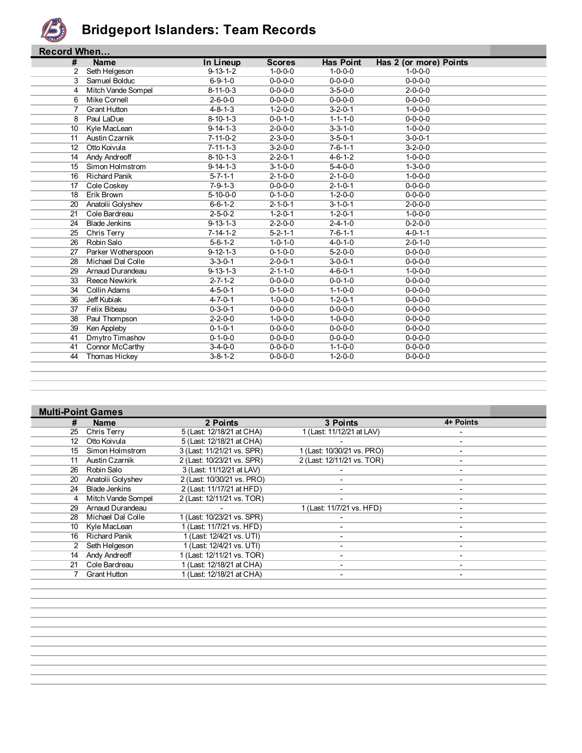

#### **Bridgeport Islanders: Team Records**

|    | <b>Record When</b>   |                  |                 |                  |                        |  |  |  |
|----|----------------------|------------------|-----------------|------------------|------------------------|--|--|--|
| #  | <b>Name</b>          | In Lineup        | <b>Scores</b>   | <b>Has Point</b> | Has 2 (or more) Points |  |  |  |
| 2  | Seth Helgeson        | $9 - 13 - 1 - 2$ | $1 - 0 - 0 - 0$ | $1 - 0 - 0 - 0$  | $1 - 0 - 0 - 0$        |  |  |  |
| 3  | Samuel Bolduc        | $6 - 9 - 1 - 0$  | $0 - 0 - 0 - 0$ | $0 - 0 - 0 - 0$  | $0 - 0 - 0 - 0$        |  |  |  |
| 4  | Mitch Vande Sompel   | $8 - 11 - 0 - 3$ | $0 - 0 - 0 - 0$ | $3 - 5 - 0 - 0$  | $2 - 0 - 0 - 0$        |  |  |  |
| 6  | Mike Cornell         | $2 - 6 - 0 - 0$  | $0 - 0 - 0 - 0$ | $0 - 0 - 0 - 0$  | $0 - 0 - 0 - 0$        |  |  |  |
| 7  | <b>Grant Hutton</b>  | $4 - 8 - 1 - 3$  | $1 - 2 - 0 - 0$ | $3 - 2 - 0 - 1$  | $1 - 0 - 0 - 0$        |  |  |  |
| 8  | Paul LaDue           | $8 - 10 - 1 - 3$ | $0 - 0 - 1 - 0$ | $1 - 1 - 1 - 0$  | $0 - 0 - 0 - 0$        |  |  |  |
| 10 | Kyle MacLean         | $9 - 14 - 1 - 3$ | $2 - 0 - 0 - 0$ | $3 - 3 - 1 - 0$  | $1 - 0 - 0 - 0$        |  |  |  |
| 11 | Austin Czarnik       | $7 - 11 - 0 - 2$ | $2 - 3 - 0 - 0$ | $3 - 5 - 0 - 1$  | $3 - 0 - 0 - 1$        |  |  |  |
| 12 | Otto Koivula         | $7 - 11 - 1 - 3$ | $3 - 2 - 0 - 0$ | $7 - 6 - 1 - 1$  | $3 - 2 - 0 - 0$        |  |  |  |
| 14 | Andy Andreoff        | $8 - 10 - 1 - 3$ | $2 - 2 - 0 - 1$ | $4 - 6 - 1 - 2$  | $1 - 0 - 0 - 0$        |  |  |  |
| 15 | Simon Holmstrom      | $9 - 14 - 1 - 3$ | $3 - 1 - 0 - 0$ | $5 - 4 - 0 - 0$  | $1 - 3 - 0 - 0$        |  |  |  |
| 16 | <b>Richard Panik</b> | $5 - 7 - 1 - 1$  | $2 - 1 - 0 - 0$ | $2 - 1 - 0 - 0$  | $1 - 0 - 0 - 0$        |  |  |  |
| 17 | Cole Coskey          | $7 - 9 - 1 - 3$  | $0 - 0 - 0 - 0$ | $2 - 1 - 0 - 1$  | $0 - 0 - 0 - 0$        |  |  |  |
| 18 | Erik Brown           | $5 - 10 - 0 - 0$ | $0 - 1 - 0 - 0$ | $1 - 2 - 0 - 0$  | $0 - 0 - 0 - 0$        |  |  |  |
| 20 | Anatolii Golyshev    | $6 - 6 - 1 - 2$  | $2 - 1 - 0 - 1$ | $3 - 1 - 0 - 1$  | $2 - 0 - 0 - 0$        |  |  |  |
| 21 | Cole Bardreau        | $2 - 5 - 0 - 2$  | $1 - 2 - 0 - 1$ | $1 - 2 - 0 - 1$  | $1 - 0 - 0 - 0$        |  |  |  |
| 24 | <b>Blade Jenkins</b> | $9 - 13 - 1 - 3$ | $2 - 2 - 0 - 0$ | $2 - 4 - 1 - 0$  | $0 - 2 - 0 - 0$        |  |  |  |
| 25 | Chris Terry          | $7 - 14 - 1 - 2$ | $5 - 2 - 1 - 1$ | $7 - 6 - 1 - 1$  | $4 - 0 - 1 - 1$        |  |  |  |
| 26 | Robin Salo           | $5 - 6 - 1 - 2$  | $1 - 0 - 1 - 0$ | $4 - 0 - 1 - 0$  | $2 - 0 - 1 - 0$        |  |  |  |
| 27 | Parker Wotherspoon   | $9 - 12 - 1 - 3$ | $0 - 1 - 0 - 0$ | $5 - 2 - 0 - 0$  | $0 - 0 - 0 - 0$        |  |  |  |
| 28 | Michael Dal Colle    | $3 - 3 - 0 - 1$  | $2 - 0 - 0 - 1$ | $3 - 0 - 0 - 1$  | $0 - 0 - 0 - 0$        |  |  |  |
| 29 | Arnaud Durandeau     | $9 - 13 - 1 - 3$ | $2 - 1 - 1 - 0$ | $4 - 6 - 0 - 1$  | $1 - 0 - 0 - 0$        |  |  |  |
| 33 | <b>Reece Newkirk</b> | $2 - 7 - 1 - 2$  | $0 - 0 - 0 - 0$ | $0 - 0 - 1 - 0$  | $0 - 0 - 0 - 0$        |  |  |  |
| 34 | Collin Adams         | $4 - 5 - 0 - 1$  | $0 - 1 - 0 - 0$ | $1 - 1 - 0 - 0$  | $0 - 0 - 0 - 0$        |  |  |  |
| 36 | Jeff Kubiak          | $4 - 7 - 0 - 1$  | $1 - 0 - 0 - 0$ | $1 - 2 - 0 - 1$  | $0 - 0 - 0 - 0$        |  |  |  |
| 37 | Felix Bibeau         | $0 - 3 - 0 - 1$  | $0 - 0 - 0 - 0$ | $0 - 0 - 0 - 0$  | $0 - 0 - 0 - 0$        |  |  |  |
| 38 | Paul Thompson        | $2 - 2 - 0 - 0$  | $1 - 0 - 0 - 0$ | $1 - 0 - 0 - 0$  | $0 - 0 - 0 - 0$        |  |  |  |
| 39 | Ken Appleby          | $0 - 1 - 0 - 1$  | $0 - 0 - 0 - 0$ | $0 - 0 - 0 - 0$  | $0 - 0 - 0 - 0$        |  |  |  |
| 41 | Dmytro Timashov      | $0 - 1 - 0 - 0$  | $0 - 0 - 0 - 0$ | $0 - 0 - 0 - 0$  | $0 - 0 - 0 - 0$        |  |  |  |
| 41 | Connor McCarthy      | $3 - 4 - 0 - 0$  | $0 - 0 - 0 - 0$ | $1 - 1 - 0 - 0$  | $0 - 0 - 0 - 0$        |  |  |  |
| 44 | Thomas Hickey        | $3 - 8 - 1 - 2$  | $0 - 0 - 0 - 0$ | $1 - 2 - 0 - 0$  | $0 - 0 - 0 - 0$        |  |  |  |
|    |                      |                  |                 |                  |                        |  |  |  |

| <b>Multi-Point Games</b> |                      |                            |                            |                          |  |
|--------------------------|----------------------|----------------------------|----------------------------|--------------------------|--|
| #                        | <b>Name</b>          | 2 Points                   | 3 Points                   | 4+ Points                |  |
| 25                       | Chris Terry          | 5 (Last: 12/18/21 at CHA)  | 1 (Last: 11/12/21 at LAV)  |                          |  |
| 12                       | Otto Koivula         | 5 (Last: 12/18/21 at CHA)  |                            | $\overline{\phantom{a}}$ |  |
| 15                       | Simon Holmstrom      | 3 (Last: 11/21/21 vs. SPR) | 1 (Last: 10/30/21 vs. PRO) |                          |  |
| 11                       | Austin Czarnik       | 2 (Last: 10/23/21 vs. SPR) | 2 (Last: 12/11/21 vs. TOR) | ٠                        |  |
| 26                       | Robin Salo           | 3 (Last: 11/12/21 at LAV)  |                            | -                        |  |
| 20                       | Anatolii Golyshev    | 2 (Last: 10/30/21 vs. PRO) |                            | -                        |  |
| 24                       | <b>Blade Jenkins</b> | 2 (Last: 11/17/21 at HFD)  |                            | ٠                        |  |
| 4                        | Mitch Vande Sompel   | 2 (Last: 12/11/21 vs. TOR) |                            | $\overline{\phantom{a}}$ |  |
| 29                       | Arnaud Durandeau     |                            | 1 (Last: 11/7/21 vs. HFD)  | $\overline{\phantom{0}}$ |  |
| 28                       | Michael Dal Colle    | 1 (Last: 10/23/21 vs. SPR) |                            |                          |  |
| 10                       | Kyle MacLean         | 1 (Last: 11/7/21 vs. HFD)  |                            | ۰                        |  |
| 16                       | <b>Richard Panik</b> | 1 (Last: 12/4/21 vs. UTI)  |                            |                          |  |
| 2                        | Seth Helgeson        | 1 (Last: 12/4/21 vs. UTI)  |                            |                          |  |
| 14                       | Andy Andreoff        | 1 (Last: 12/11/21 vs. TOR) |                            |                          |  |
| 21                       | Cole Bardreau        | 1 (Last: 12/18/21 at CHA)  |                            |                          |  |
|                          | <b>Grant Hutton</b>  | 1 (Last: 12/18/21 at CHA)  |                            |                          |  |
|                          |                      |                            |                            |                          |  |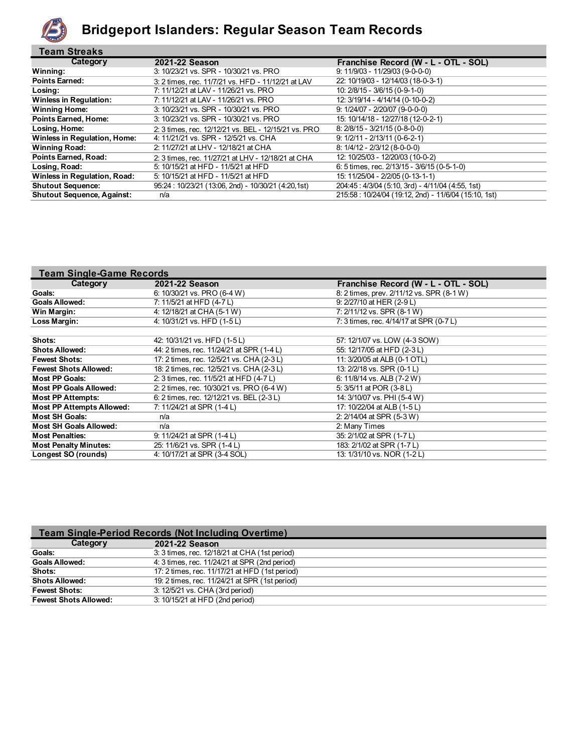

#### **Bridgeport Islanders: Regular Season Team Records**

| <b>Team Streaks</b>               |                                                      |                                                      |
|-----------------------------------|------------------------------------------------------|------------------------------------------------------|
| Category                          | 2021-22 Season                                       | Franchise Record (W - L - OTL - SOL)                 |
| Winning:                          | 3: 10/23/21 vs. SPR - 10/30/21 vs. PRO               | $9: 11/9/03 - 11/29/03 (9-0-0-0)$                    |
| <b>Points Earned:</b>             | 3: 2 times, rec. 11/7/21 vs. HFD - 11/12/21 at LAV   | 22: 10/19/03 - 12/14/03 (18-0-3-1)                   |
| Losing:                           | 7: 11/12/21 at LAV - 11/26/21 vs. PRO                | 10: 2/8/15 - 3/6/15 (0-9-1-0)                        |
| <b>Winless in Regulation:</b>     | 7: 11/12/21 at LAV - 11/26/21 vs. PRO                | 12: 3/19/14 - 4/14/14 (0-10-0-2)                     |
| <b>Winning Home:</b>              | 3: 10/23/21 vs. SPR - 10/30/21 vs. PRO               | $9: 1/24/07 - 2/20/07 (9-0-0-0)$                     |
| <b>Points Earned, Home:</b>       | 3: 10/23/21 vs. SPR - 10/30/21 vs. PRO               | 15: 10/14/18 - 12/27/18 (12-0-2-1)                   |
| Losing, Home:                     | 2: 3 times, rec. 12/12/21 vs. BEL - 12/15/21 vs. PRO | 8: 2/8/15 - 3/21/15 (0-8-0-0)                        |
| Winless in Regulation, Home:      | 4: 11/21/21 vs. SPR - 12/5/21 vs. CHA                | $9: 1/2/11 - 2/13/11 (0-6-2-1)$                      |
| <b>Winning Road:</b>              | 2: 11/27/21 at LHV - 12/18/21 at CHA                 | $8: 1/4/12 - 2/3/12$ (8-0-0-0)                       |
| <b>Points Earned, Road:</b>       | 2: 3 times, rec. 11/27/21 at LHV - 12/18/21 at CHA   | 12: 10/25/03 - 12/20/03 (10-0-2)                     |
| Losing, Road:                     | 5: 10/15/21 at HFD - 11/5/21 at HFD                  | 6: 5 times, rec. $2/13/15 - 3/6/15$ (0-5-1-0)        |
| Winless in Regulation, Road:      | 5: 10/15/21 at HFD - 11/5/21 at HFD                  | 15: 11/25/04 - 2/2/05 (0-13-1-1)                     |
| <b>Shutout Sequence:</b>          | 95:24 : 10/23/21 (13:06, 2nd) - 10/30/21 (4:20,1st)  | 204:45: 4/3/04 (5:10, 3rd) - 4/11/04 (4:55, 1st)     |
| <b>Shutout Sequence, Against:</b> | n/a                                                  | 215:58: 10/24/04 (19:12, 2nd) - 11/6/04 (15:10, 1st) |

| <b>Team Single-Game Records</b>  |                                           |                                           |  |  |  |  |  |
|----------------------------------|-------------------------------------------|-------------------------------------------|--|--|--|--|--|
| Category                         | 2021-22 Season                            | Franchise Record (W - L - OTL - SOL)      |  |  |  |  |  |
| Goals:                           | 6: 10/30/21 vs. PRO (6-4 W)               | 8: 2 times, prev. 2/11/12 vs. SPR (8-1 W) |  |  |  |  |  |
| <b>Goals Allowed:</b>            | 7: 11/5/21 at HFD (4-7 L)                 | 9: 2/27/10 at HER (2-9 L)                 |  |  |  |  |  |
| Win Margin:                      | 4: 12/18/21 at CHA (5-1 W)                | 7: 2/11/12 vs. SPR (8-1 W)                |  |  |  |  |  |
| Loss Margin:                     | 4: 10/31/21 vs. HFD (1-5L)                | 7: 3 times, rec. 4/14/17 at SPR (0-7 L)   |  |  |  |  |  |
|                                  |                                           |                                           |  |  |  |  |  |
| Shots:                           | 42: 10/31/21 vs. HFD (1-5L)               | 57: 12/1/07 vs. LOW (4-3 SOW)             |  |  |  |  |  |
| <b>Shots Allowed:</b>            | 44: 2 times, rec. 11/24/21 at SPR (1-4 L) | 55: 12/17/05 at HFD (2-3 L)               |  |  |  |  |  |
| <b>Fewest Shots:</b>             | 17: 2 times, rec. 12/5/21 vs. CHA (2-3 L) | 11: 3/20/05 at ALB (0-1 OTL)              |  |  |  |  |  |
| <b>Fewest Shots Allowed:</b>     | 18: 2 times, rec. 12/5/21 vs. CHA (2-3 L) | 13: 2/2/18 vs. SPR (0-1 L)                |  |  |  |  |  |
| <b>Most PP Goals:</b>            | 2: 3 times, rec. 11/5/21 at HFD (4-7 L)   | 6: 11/8/14 vs. ALB (7-2 W)                |  |  |  |  |  |
| <b>Most PP Goals Allowed:</b>    | 2: 2 times, rec. 10/30/21 vs. PRO (6-4 W) | 5: 3/5/11 at POR (3-8 L)                  |  |  |  |  |  |
| <b>Most PP Attempts:</b>         | 6: 2 times, rec. 12/12/21 vs. BEL (2-3 L) | 14: 3/10/07 vs. PHI (5-4 W)               |  |  |  |  |  |
| <b>Most PP Attempts Allowed:</b> | 7: 11/24/21 at SPR (1-4 L)                | 17: 10/22/04 at ALB (1-5 L)               |  |  |  |  |  |
| <b>Most SH Goals:</b>            | n/a                                       | 2: 2/14/04 at SPR (5-3 W)                 |  |  |  |  |  |
| <b>Most SH Goals Allowed:</b>    | n/a                                       | 2: Many Times                             |  |  |  |  |  |
| <b>Most Penalties:</b>           | 9. 11/24/21 at SPR (1-4 L)                | 35: 2/1/02 at SPR (1-7 L)                 |  |  |  |  |  |
| <b>Most Penalty Minutes:</b>     | 25: 11/6/21 vs. SPR (1-4 L)               | 183: 2/1/02 at SPR (1-7 L)                |  |  |  |  |  |
| Longest SO (rounds)              | 4: 10/17/21 at SPR (3-4 SOL)              | 13: 1/31/10 vs. NOR (1-2L)                |  |  |  |  |  |

| <b>Team Single-Period Records (Not Including Overtime)</b> |                                                |  |  |  |  |
|------------------------------------------------------------|------------------------------------------------|--|--|--|--|
| Category                                                   | 2021-22 Season                                 |  |  |  |  |
| <b>Goals:</b>                                              | 3: 3 times, rec. 12/18/21 at CHA (1st period)  |  |  |  |  |
| <b>Goals Allowed:</b>                                      | 4: 3 times, rec. 11/24/21 at SPR (2nd period)  |  |  |  |  |
| Shots:                                                     | 17: 2 times, rec. 11/17/21 at HFD (1st period) |  |  |  |  |
| <b>Shots Allowed:</b>                                      | 19: 2 times, rec. 11/24/21 at SPR (1st period) |  |  |  |  |
| <b>Fewest Shots:</b>                                       | 3: 12/5/21 vs. CHA (3rd period)                |  |  |  |  |
| <b>Fewest Shots Allowed:</b>                               | 3: 10/15/21 at HFD (2nd period)                |  |  |  |  |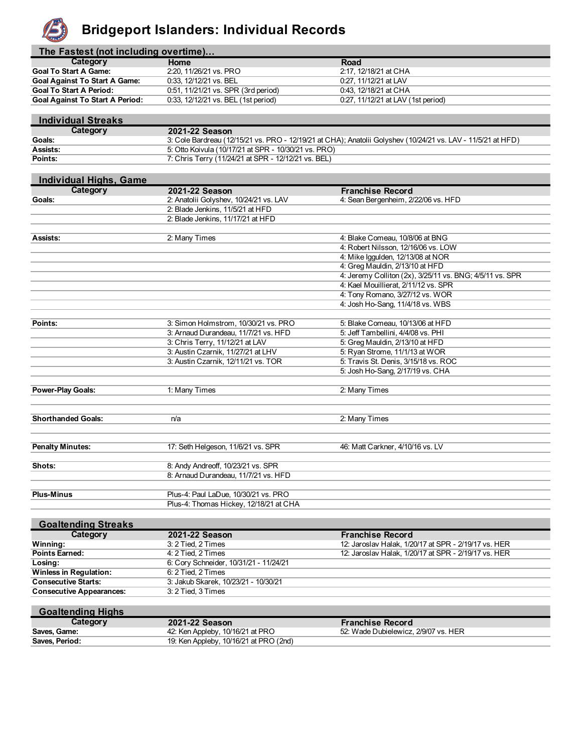

#### **Bridgeport Islanders: Individual Records**

| The Fastest (not including overtime) |  |  |  |  |
|--------------------------------------|--|--|--|--|
|--------------------------------------|--|--|--|--|

| Category                               | Home                                  | Road                               |
|----------------------------------------|---------------------------------------|------------------------------------|
| <b>Goal To Start A Game:</b>           | 2:20, 11/26/21 vs. PRO                | 2:17, 12/18/21 at CHA              |
| <b>Goal Against To Start A Game:</b>   | 0:33, 12/12/21 vs. BEL                | 0:27, 11/12/21 at LAV              |
| <b>Goal To Start A Period:</b>         | $0.51, 11/21/21$ vs. SPR (3rd period) | 0:43, 12/18/21 at CHA              |
| <b>Goal Against To Start A Period:</b> | 0:33, 12/12/21 vs. BEL (1st period)   | 0:27, 11/12/21 at LAV (1st period) |

| <b>Individual Streaks</b> |                                                                                                              |
|---------------------------|--------------------------------------------------------------------------------------------------------------|
| Category                  | 2021-22 Season                                                                                               |
| <b>Goals:</b>             | 3: Cole Bardreau (12/15/21 vs. PRO - 12/19/21 at CHA); Anatolii Golyshev (10/24/21 vs. LAV - 11/5/21 at HFD) |
| Assists:                  | 5: Otto Koivula (10/17/21 at SPR - 10/30/21 vs. PRO)                                                         |
| Points:                   | 7: Chris Terry (11/24/21 at SPR - 12/12/21 vs. BEL)                                                          |

| <b>Individual Highs, Game</b> |                                                                            |                                                          |
|-------------------------------|----------------------------------------------------------------------------|----------------------------------------------------------|
| Category                      | 2021-22 Season                                                             | <b>Franchise Record</b>                                  |
| Goals:                        | 2: Anatolii Golyshev, 10/24/21 vs. LAV                                     | 4: Sean Bergenheim, 2/22/06 vs. HFD                      |
|                               | 2: Blade Jenkins, 11/5/21 at HFD                                           |                                                          |
|                               | 2: Blade Jenkins, 11/17/21 at HFD                                          |                                                          |
|                               |                                                                            |                                                          |
| Assists:                      | 2: Many Times                                                              | 4: Blake Comeau, 10/8/06 at BNG                          |
|                               |                                                                            | 4: Robert Nilsson, 12/16/06 vs. LOW                      |
|                               |                                                                            | 4: Mike Iggulden, 12/13/08 at NOR                        |
|                               |                                                                            | 4: Greg Mauldin, 2/13/10 at HFD                          |
|                               |                                                                            | 4: Jeremy Colliton (2x), 3/25/11 vs. BNG; 4/5/11 vs. SPR |
|                               |                                                                            | 4: Kael Mouillierat, 2/11/12 vs. SPR                     |
|                               |                                                                            | 4: Tony Romano, 3/27/12 vs. WOR                          |
|                               |                                                                            | 4: Josh Ho-Sang, 11/4/18 vs. WBS                         |
|                               |                                                                            |                                                          |
| Points:                       | 3: Simon Holmstrom, 10/30/21 vs. PRO                                       | 5: Blake Comeau, 10/13/06 at HFD                         |
|                               | 3: Arnaud Durandeau, 11/7/21 vs. HFD                                       | 5: Jeff Tambellini, 4/4/08 vs. PHI                       |
|                               | 3: Chris Terry, 11/12/21 at LAV                                            | 5: Greg Mauldin, 2/13/10 at HFD                          |
|                               | 3: Austin Czarnik, 11/27/21 at LHV                                         | 5: Ryan Strome, 11/1/13 at WOR                           |
|                               | 3: Austin Czarnik, 12/11/21 vs. TOR                                        | 5: Travis St. Denis, 3/15/18 vs. ROC                     |
|                               |                                                                            | 5: Josh Ho-Sang, 2/17/19 vs. CHA                         |
|                               |                                                                            |                                                          |
| <b>Power-Play Goals:</b>      | 1: Many Times                                                              | 2: Many Times                                            |
|                               |                                                                            |                                                          |
| <b>Shorthanded Goals:</b>     | n/a                                                                        | 2: Many Times                                            |
|                               |                                                                            |                                                          |
|                               |                                                                            |                                                          |
| <b>Penalty Minutes:</b>       | 17: Seth Helgeson, 11/6/21 vs. SPR                                         | 46: Matt Carkner, 4/10/16 vs. LV                         |
| Shots:                        |                                                                            |                                                          |
|                               | 8: Andy Andreoff, 10/23/21 vs. SPR<br>8: Arnaud Durandeau, 11/7/21 vs. HFD |                                                          |
|                               |                                                                            |                                                          |
| <b>Plus-Minus</b>             | Plus-4: Paul LaDue, 10/30/21 vs. PRO                                       |                                                          |
|                               | Plus-4: Thomas Hickey, 12/18/21 at CHA                                     |                                                          |
|                               |                                                                            |                                                          |
| <b>Goaltending Streaks</b>    |                                                                            |                                                          |
|                               | 0.0210000                                                                  | skia a Da<br>н.,                                         |

| Category                        | 2021-22 Season<br><b>Franchise Record</b>                                  |                                                      |  |  |  |  |
|---------------------------------|----------------------------------------------------------------------------|------------------------------------------------------|--|--|--|--|
| Winning:                        | 12: Jaroslav Halak, 1/20/17 at SPR - 2/19/17 vs. HER<br>3: 2 Tied. 2 Times |                                                      |  |  |  |  |
| <b>Points Earned:</b>           | 4: 2 Tied. 2 Times                                                         | 12: Jaroslav Halak, 1/20/17 at SPR - 2/19/17 vs. HER |  |  |  |  |
| Losing:                         | 6: Cory Schneider, 10/31/21 - 11/24/21                                     |                                                      |  |  |  |  |
| <b>Winless in Regulation:</b>   | 6: 2 Tied. 2 Times                                                         |                                                      |  |  |  |  |
| <b>Consecutive Starts:</b>      | 3: Jakub Skarek, 10/23/21 - 10/30/21                                       |                                                      |  |  |  |  |
| <b>Consecutive Appearances:</b> | 3: 2 Tied. 3 Times                                                         |                                                      |  |  |  |  |

| <b>Goaltending Highs</b> |                                        |                                      |
|--------------------------|----------------------------------------|--------------------------------------|
| Category                 | 2021-22 Season                         | <b>Franchise Record</b>              |
| Saves. Game:             | 42: Ken Appleby, 10/16/21 at PRO       | 52: Wade Dubielewicz, 2/9/07 vs. HER |
| Saves, Period:           | 19: Ken Appleby, 10/16/21 at PRO (2nd) |                                      |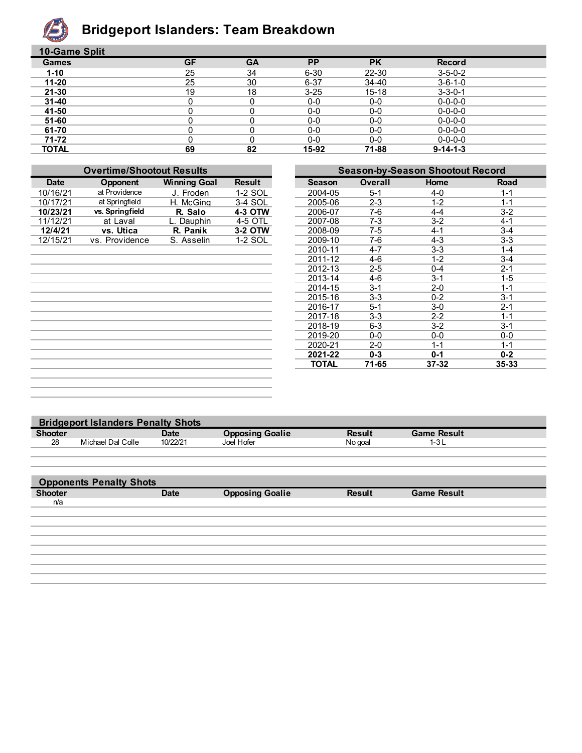

## **Bridgeport Islanders: Team Breakdown**

| 10-Game Split |           |           |           |           |                  |  |
|---------------|-----------|-----------|-----------|-----------|------------------|--|
| <b>Games</b>  | <b>GF</b> | <b>GA</b> | <b>PP</b> | <b>PK</b> | Record           |  |
| $1 - 10$      | 25        | 34        | $6 - 30$  | 22-30     | $3 - 5 - 0 - 2$  |  |
| $11 - 20$     | 25        | 30        | $6 - 37$  | 34-40     | $3 - 6 - 1 - 0$  |  |
| $21 - 30$     | 19        | 18        | $3 - 25$  | $15 - 18$ | $3 - 3 - 0 - 1$  |  |
| $31 - 40$     |           |           | $0-0$     | $0-0$     | $0 - 0 - 0 - 0$  |  |
| 41-50         |           |           | $0-0$     | $0-0$     | $0 - 0 - 0 - 0$  |  |
| 51-60         |           |           | $0-0$     | $0-0$     | $0 - 0 - 0 - 0$  |  |
| 61-70         |           |           | $0-0$     | 0-0       | $0 - 0 - 0 - 0$  |  |
| 71-72         |           |           | $0-0$     | 0-0       | $0 - 0 - 0 - 0$  |  |
| <b>TOTAL</b>  | 69        | 82        | 15-92     | 71-88     | $9 - 14 - 1 - 3$ |  |

| <b>Overtime/Shootout Results</b> |                 |                     |               |               | <b>Season-by-Season Shootout Record</b> |           |         |
|----------------------------------|-----------------|---------------------|---------------|---------------|-----------------------------------------|-----------|---------|
| <b>Date</b>                      | Opponent        | <b>Winning Goal</b> | <b>Result</b> | <b>Season</b> | <b>Overall</b>                          | Home      | Road    |
| 10/16/21                         | at Providence   | J. Froden           | 1-2 SOL       | 2004-05       | $5 - 1$                                 | $4 - 0$   | $1 - 1$ |
| 10/17/21                         | at Springfield  | H. McGina           | 3-4 SOL       | 2005-06       | $2 - 3$                                 | $1 - 2$   | $1 - 1$ |
| 10/23/21                         | vs. Springfield | R. Salo             | 4-3 OTW       | 2006-07       | $7-6$                                   | $4 - 4$   | $3 - 2$ |
| 11/12/21                         | at Laval        | L. Dauphin          | 4-5 OTL       | 2007-08       | $7-3$                                   | $3 - 2$   | $4 - 1$ |
| 12/4/21                          | vs. Utica       | R. Panik            | 3-2 OTW       | 2008-09       | 7-5                                     | $4 - 1$   | $3 - 4$ |
| 12/15/21                         | vs. Providence  | S. Asselin          | 1-2 SOL       | 2009-10       | $7-6$                                   | $4 - 3$   | $3-3$   |
|                                  |                 |                     |               | 2010-11       | $4 - 7$                                 | $3-3$     | $1 - 4$ |
|                                  |                 |                     |               | 2011-12       | $4 - 6$                                 | $1 - 2$   | $3 - 4$ |
|                                  |                 |                     |               | 2012-13       | $2 - 5$                                 | $0 - 4$   | $2 - 1$ |
|                                  |                 |                     |               | 2013-14       | 4-6                                     | $3 - 1$   | $1 - 5$ |
|                                  |                 |                     |               | 2014-15       | $3 - 1$                                 | $2 - 0$   | $1 - 1$ |
|                                  |                 |                     |               | 2015-16       | $3 - 3$                                 | $0 - 2$   | $3 - 1$ |
|                                  |                 |                     |               | 2016-17       | $5 - 1$                                 | $3-0$     | $2 - 1$ |
|                                  |                 |                     |               | 2017-18       | $3 - 3$                                 | $2 - 2$   | $1 - 1$ |
|                                  |                 |                     |               | 2018-19       | $6 - 3$                                 | $3-2$     | $3 - 1$ |
|                                  |                 |                     |               | 2019-20       | $0-0$                                   | $0-0$     | $0-0$   |
|                                  |                 |                     |               | 2020-21       | $2 - 0$                                 | $1 - 1$   | $1 - 1$ |
|                                  |                 |                     |               | 2021-22       | $0 - 3$                                 | $0 - 1$   | $0 - 2$ |
|                                  |                 |                     |               | <b>TOTAL</b>  | 71-65                                   | $37 - 32$ | 35-33   |
|                                  |                 |                     |               |               |                                         |           |         |

| <b>Bridgeport Islanders Penalty Shots</b> |                                |             |                        |               |                    |  |  |
|-------------------------------------------|--------------------------------|-------------|------------------------|---------------|--------------------|--|--|
| <b>Shooter</b>                            |                                | <b>Date</b> | <b>Opposing Goalie</b> | <b>Result</b> | <b>Game Result</b> |  |  |
| 28                                        | Michael Dal Colle              | 10/22/21    | Joel Hofer             | No goal       | $1 - 3L$           |  |  |
|                                           |                                |             |                        |               |                    |  |  |
|                                           |                                |             |                        |               |                    |  |  |
|                                           | <b>Opponents Penalty Shots</b> |             |                        |               |                    |  |  |
|                                           |                                |             |                        |               |                    |  |  |
| <b>Shooter</b>                            |                                | <b>Date</b> | <b>Opposing Goalie</b> | <b>Result</b> | <b>Game Result</b> |  |  |
| n/a                                       |                                |             |                        |               |                    |  |  |
|                                           |                                |             |                        |               |                    |  |  |
|                                           |                                |             |                        |               |                    |  |  |
|                                           |                                |             |                        |               |                    |  |  |
|                                           |                                |             |                        |               |                    |  |  |
|                                           |                                |             |                        |               |                    |  |  |
|                                           |                                |             |                        |               |                    |  |  |
|                                           |                                |             |                        |               |                    |  |  |
|                                           |                                |             |                        |               |                    |  |  |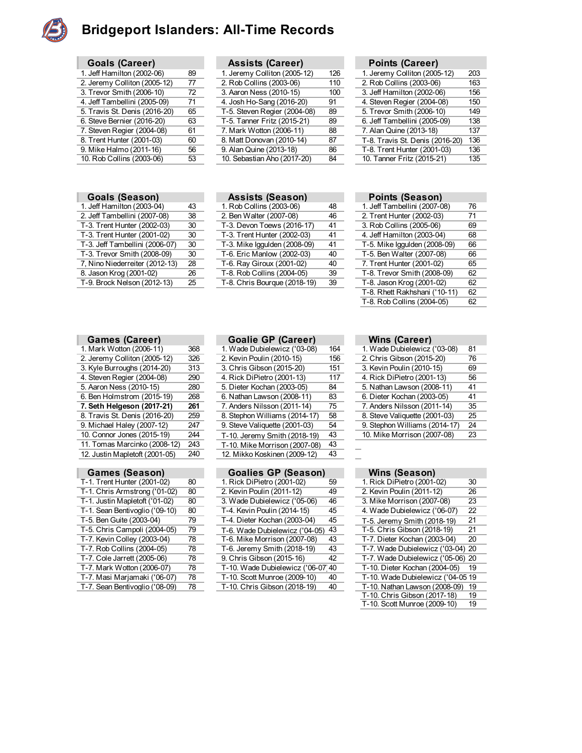

### **Bridgeport Islanders: All-Time Records**

| <b>Goals (Career)</b>         |    |
|-------------------------------|----|
| 1. Jeff Hamilton (2002-06)    | 89 |
| 2. Jeremy Colliton (2005-12)  | 77 |
| 3. Trevor Smith (2006-10)     | 72 |
| 4. Jeff Tambellini (2005-09)  | 71 |
| 5. Travis St. Denis (2016-20) | 65 |
| 6. Steve Bernier (2016-20)    | 63 |
| 7. Steven Regier (2004-08)    | 61 |
| 8. Trent Hunter (2001-03)     | 60 |
| 9. Mike Halmo (2011-16)       | 56 |
| 10. Rob Collins (2003-06)     | 53 |

|  | <b>Goals (Season)</b> |
|--|-----------------------|
|--|-----------------------|

ı

| 1. Jeff Hamilton (2003-04)     | 43 |
|--------------------------------|----|
| 2. Jeff Tambellini (2007-08)   | 38 |
| T-3. Trent Hunter (2002-03)    | 30 |
| T-3. Trent Hunter (2001-02)    | 30 |
| T-3. Jeff Tambellini (2006-07) | 30 |
| T-3. Trevor Smith (2008-09)    | 30 |
| 7, Nino Niederreiter (2012-13) | 28 |
| 8. Jason Krog (2001-02)        | 26 |
| T-9. Brock Nelson (2012-13)    | 25 |

| Goals (Career)                |    | <b>Assists (Career)</b>      |     | <b>Points (Career)</b>          |     |
|-------------------------------|----|------------------------------|-----|---------------------------------|-----|
| 1. Jeff Hamilton (2002-06)    | 89 | 1. Jeremy Colliton (2005-12) | 126 | 1. Jeremy Colliton (2005-12)    | 203 |
| 2. Jeremy Colliton (2005-12)  | 77 | 2. Rob Collins (2003-06)     | 110 | 2. Rob Collins (2003-06)        | 163 |
| 3. Trevor Smith (2006-10)     | 72 | 3. Aaron Ness (2010-15)      | 100 | 3. Jeff Hamilton (2002-06)      | 156 |
| 4. Jeff Tambellini (2005-09)  | 71 | 4. Josh Ho-Sang (2016-20)    | 91  | 4. Steven Regier (2004-08)      | 150 |
| 5. Travis St. Denis (2016-20) | 65 | T-5. Steven Regier (2004-08) | 89  | 5. Trevor Smith (2006-10)       | 149 |
| 6. Steve Bernier (2016-20)    | 63 | T-5. Tanner Fritz (2015-21)  | 89  | 6. Jeff Tambellini (2005-09)    | 138 |
| 7. Steven Regier (2004-08)    | 61 | 7. Mark Wotton (2006-11)     | 88  | 7. Alan Quine (2013-18)         | 137 |
| 8. Trent Hunter (2001-03)     | 60 | 8. Matt Donovan (2010-14)    | 87  | T-8. Travis St. Denis (2016-20) | 136 |
| 9. Mike Halmo (2011-16)       | 56 | 9. Alan Quine (2013-18)      | 86  | T-8. Trent Hunter (2001-03)     | 136 |
| 10. Rob Collins (2003-06)     | 53 | 10. Sebastian Aho (2017-20)  | 84  | 10. Tanner Fritz (2015-21)      | 135 |
|                               |    |                              |     |                                 |     |

| Points (Career)                 |     |
|---------------------------------|-----|
| 1. Jeremy Colliton (2005-12)    | 203 |
| 2. Rob Collins (2003-06)        | 163 |
| 3. Jeff Hamilton (2002-06)      | 156 |
| 4. Steven Regier (2004-08)      | 150 |
| 5. Trevor Smith (2006-10)       | 149 |
| 6. Jeff Tambellini (2005-09)    | 138 |
| 7. Alan Quine (2013-18)         | 137 |
| T-8. Travis St. Denis (2016-20) | 136 |
| T-8. Trent Hunter (2001-03)     | 136 |
| 10. Tanner Fritz (2015-21)      | 135 |

| Assists (Season) |  |
|------------------|--|
|                  |  |

| 1. Jeff Hamilton (2003-04)     | 43 | 1. Rob Collins (2003-06)     | 48 | 1. Jeff Tambellini (2007-08) | 76 |
|--------------------------------|----|------------------------------|----|------------------------------|----|
| 2. Jeff Tambellini (2007-08)   | 38 | 2. Ben Walter (2007-08)      | 46 | 2. Trent Hunter (2002-03)    | 71 |
| T-3. Trent Hunter (2002-03)    | 30 | T-3. Devon Toews (2016-17)   | 41 | 3. Rob Collins (2005-06)     | 69 |
| T-3. Trent Hunter (2001-02)    | 30 | T-3. Trent Hunter (2002-03)  | 41 | 4. Jeff Hamilton (2003-04)   | 68 |
| T-3. Jeff Tambellini (2006-07) | 30 | T-3. Mike Iggulden (2008-09) | 41 | T-5. Mike Iggulden (2008-09) | 66 |
| T-3. Trevor Smith (2008-09)    | 30 | T-6. Eric Manlow (2002-03)   | 40 | T-5. Ben Walter (2007-08)    | 66 |
| 7, Nino Niederreiter (2012-13) | 28 | T-6. Ray Giroux (2001-02)    | 40 | 7. Trent Hunter (2001-02)    | 65 |
| 8. Jason Krog (2001-02)        | 26 | T-8. Rob Collins (2004-05)   | 39 | T-8. Trevor Smith (2008-09)  | 62 |
| T-9. Brock Nelson (2012-13)    | 25 | T-8. Chris Bourque (2018-19) | 39 | T-8. Jason Krog (2001-02)    | 62 |
|                                |    |                              |    |                              |    |

| <b>Goals (Season)</b>          |    | <b>Assists (Season)</b>      |    | Points (Season)               |    |
|--------------------------------|----|------------------------------|----|-------------------------------|----|
| 1. Jeff Hamilton (2003-04)     | 43 | 1. Rob Collins (2003-06)     | 48 | 1. Jeff Tambellini (2007-08)  | 76 |
| 2. Jeff Tambellini (2007-08)   | 38 | 2. Ben Walter (2007-08)      | 46 | 2. Trent Hunter (2002-03)     | 71 |
| T-3. Trent Hunter (2002-03)    | 30 | T-3. Devon Toews (2016-17)   | 41 | 3. Rob Collins (2005-06)      | 69 |
| T-3. Trent Hunter (2001-02)    | 30 | T-3. Trent Hunter (2002-03)  | 41 | 4. Jeff Hamilton (2003-04)    | 68 |
| T-3. Jeff Tambellini (2006-07) | 30 | T-3. Mike Iggulden (2008-09) | 41 | T-5. Mike Iggulden (2008-09)  | 66 |
| T-3. Trevor Smith (2008-09)    | 30 | T-6. Eric Manlow (2002-03)   | 40 | T-5. Ben Walter (2007-08)     | 66 |
| 7, Nino Niederreiter (2012-13) | 28 | T-6. Ray Giroux (2001-02)    | 40 | 7. Trent Hunter (2001-02)     | 65 |
| 8. Jason Krog (2001-02)        | 26 | T-8. Rob Collins (2004-05)   | 39 | T-8. Trevor Smith (2008-09)   | 62 |
| T-9. Brock Nelson (2012-13)    | 25 | T-8. Chris Bourgue (2018-19) | 39 | T-8. Jason Krog (2001-02)     | 62 |
|                                |    |                              |    | T-8. Rhett Rakhshani ('10-11) | 62 |
|                                |    |                              |    | T-8. Rob Collins (2004-05)    | 62 |
|                                |    |                              |    |                               |    |

| Games (Career)                 |     |
|--------------------------------|-----|
| 1. Mark Wotton (2006-11)       | 368 |
| 2. Jeremy Colliton (2005-12)   | 326 |
| 3. Kyle Burroughs (2014-20)    | 313 |
| 4. Steven Regier (2004-08)     | 290 |
| 5. Aaron Ness (2010-15)        | 280 |
| 6. Ben Holmstrom (2015-19)     | 268 |
| 7. Seth Helgeson (2017-21)     |     |
|                                | 261 |
| 8. Travis St. Denis (2016-20)  | 259 |
| 9. Michael Haley (2007-12)     | 247 |
| 10. Connor Jones (2015-19)     | 244 |
| 11. Tomas Marcinko (2008-12)   | 243 |
| 12. Justin Mapletoft (2001-05) | 240 |
|                                |     |

| Games (Season)              |  |
|-----------------------------|--|
| T-1. Trent Hunter (2001-02) |  |

| T-1. Chris Armstrong ('01-02)  | 80 |
|--------------------------------|----|
| T-1. Justin Mapletoft ('01-02) | 80 |
| T-1. Sean Bentivoglio ('09-10) | 80 |
| T-5. Ben Guite (2003-04)       | 79 |
| T-5. Chris Campoli (2004-05)   | 79 |
| T-7. Kevin Colley (2003-04)    | 78 |
| T-7. Rob Collins (2004-05)     | 78 |
| T-7. Cole Jarrett (2005-06)    | 78 |
| T-7. Mark Wotton (2006-07)     | 78 |
| T-7. Masi Marjamaki ('06-07)   | 78 |
| T-7. Sean Bentivoglio ('08-09) | 78 |

| 1. Mark Wotton (2006-11)       | 368 | 1. Wade Dubielewicz ('03-08)  | 164 | 1. Wade Dubielewicz ('03-08)  | -81 |
|--------------------------------|-----|-------------------------------|-----|-------------------------------|-----|
| 2. Jeremy Colliton (2005-12)   | 326 | 2. Kevin Poulin (2010-15)     | 156 | 2. Chris Gibson (2015-20)     | 76  |
| 3. Kyle Burroughs (2014-20)    | 313 | 3. Chris Gibson (2015-20)     | 151 | 3. Kevin Poulin (2010-15)     | 69  |
| 4. Steven Regier (2004-08)     | 290 | 4. Rick DiPietro (2001-13)    | 117 | 4. Rick DiPietro (2001-13)    | 56  |
| 5. Aaron Ness (2010-15)        | 280 | 5. Dieter Kochan (2003-05)    | 84  | 5. Nathan Lawson (2008-11)    | 41  |
| 6. Ben Holmstrom (2015-19)     | 268 | 6. Nathan Lawson (2008-11)    | 83  | 6. Dieter Kochan (2003-05)    | 41  |
| 7. Seth Helgeson (2017-21)     | 261 | 7. Anders Nilsson (2011-14)   | 75  | 7. Anders Nilsson (2011-14)   | 35  |
| 8. Travis St. Denis (2016-20)  | 259 | 8. Stephon Williams (2014-17) | 58  | 8. Steve Valiguette (2001-03) | 25  |
| 9. Michael Haley (2007-12)     | 247 | 9. Steve Valiquette (2001-03) | 54  | 9. Stephon Williams (2014-17) | 24  |
| 10. Connor Jones (2015-19)     | 244 | T-10. Jeremy Smith (2018-19)  | 43  | 10. Mike Morrison (2007-08)   | 23  |
| 11. Tomas Marcinko (2008-12)   | 243 | T-10. Mike Morrison (2007-08) | 43  |                               |     |
| 12. Justin Mapletoft (2001-05) | 240 | 12. Mikko Koskinen (2009-12)  | 43  |                               |     |
|                                |     |                               |     |                               |     |

| <b>Games (Season)</b>          |    | <b>Goalies GP (Season)</b>         |    | Wins (Season)                     |    |
|--------------------------------|----|------------------------------------|----|-----------------------------------|----|
| T-1. Trent Hunter (2001-02)    | 80 | 1. Rick DiPietro (2001-02)         | 59 | 1. Rick DiPietro (2001-02)        | 30 |
| T-1. Chris Armstrong ('01-02)  | 80 | 2. Kevin Poulin (2011-12)          | 49 | 2. Kevin Poulin (2011-12)         | 26 |
| T-1. Justin Mapletoft ('01-02) | 80 | 3. Wade Dubielewicz ('05-06)       | 46 | 3. Mike Morrison (2007-08)        | 23 |
| T-1. Sean Bentivoglio ('09-10) | 80 | T-4. Kevin Poulin (2014-15)        | 45 | 4. Wade Dubielewicz ('06-07)      | 22 |
| T-5. Ben Guite (2003-04)       | 79 | T-4. Dieter Kochan (2003-04)       | 45 | T-5. Jeremy Smith (2018-19)       | 21 |
| T-5. Chris Campoli (2004-05)   | 79 | T-6. Wade Dubielewicz ('04-05)     | 43 | T-5. Chris Gibson (2018-19)       | 21 |
| T-7. Kevin Colley (2003-04)    | 78 | T-6. Mike Morrison (2007-08)       | 43 | T-7. Dieter Kochan (2003-04)      | 20 |
| T-7. Rob Collins (2004-05)     | 78 | T-6. Jeremy Smith (2018-19)        | 43 | T-7. Wade Dubielewicz ('03-04) 20 |    |
| T-7. Cole Jarrett (2005-06)    | 78 | 9. Chris Gibson (2015-16)          | 42 | T-7. Wade Dubielewicz ('05-06) 20 |    |
| T-7. Mark Wotton (2006-07)     | 78 | T-10. Wade Dubielewicz ('06-07' 40 |    | T-10. Dieter Kochan (2004-05)     | 19 |
| T-7. Masi Marjamaki ('06-07)   | 78 | T-10. Scott Munroe (2009-10)       | 40 | T-10. Wade Dubielewicz ('04-05 19 |    |
| T-7. Sean Bentivoglio ('08-09) | 78 | T-10. Chris Gibson (2018-19)       | 40 | T-10. Nathan Lawson (2008-09) 19  |    |
|                                |    |                                    |    | T-10 Chris Gihson (2017-18).      | 10 |

| <b>Goalie GP (Career)</b> | <b>Wins (Career)</b> |
|---------------------------|----------------------|

| 1. Mark Wotton (2006-11)      | 368 | 1. Wade Dubielewicz ('03-08)  | 164 | 1. Wade Dubielewicz ('03-08)  | 81  |
|-------------------------------|-----|-------------------------------|-----|-------------------------------|-----|
| 2. Jeremy Colliton (2005-12)  | 326 | 2. Kevin Poulin (2010-15)     | 156 | 2. Chris Gibson (2015-20)     | 76  |
| 3. Kyle Burroughs (2014-20)   | 313 | 3. Chris Gibson (2015-20)     | 151 | 3. Kevin Poulin (2010-15)     | 69  |
| 4. Steven Regier (2004-08)    | 290 | 4. Rick DiPietro (2001-13)    | 117 | 4. Rick DiPietro (2001-13)    | 56  |
| 5. Aaron Ness (2010-15)       | 280 | 5. Dieter Kochan (2003-05)    | 84  | 5. Nathan Lawson (2008-11)    | 41  |
| 6. Ben Holmstrom (2015-19)    | 268 | 6. Nathan Lawson (2008-11)    | 83  | 6. Dieter Kochan (2003-05)    | -41 |
| 7. Seth Helgeson (2017-21)    | 261 | 7. Anders Nilsson (2011-14)   | 75  | 7. Anders Nilsson (2011-14)   | 35  |
| 8. Travis St. Denis (2016-20) | 259 | 8. Stephon Williams (2014-17) | 58  | 8. Steve Valiguette (2001-03) | 25  |
| 9. Michael Haley (2007-12)    | 247 | 9. Steve Valiguette (2001-03) | 54  | 9. Stephon Williams (2014-17) | -24 |
| 10. Connor Jones (2015-19)    | 244 | T-10. Jeremy Smith (2018-19)  | 43  | 10. Mike Morrison (2007-08)   | 23  |
|                               |     |                               |     |                               |     |

| 1. Rick DiPietro (2001-02)     | 30 |
|--------------------------------|----|
| 2. Kevin Poulin (2011-12)      | 26 |
| 3. Mike Morrison (2007-08)     | 23 |
| 4. Wade Dubielewicz ('06-07)   | 22 |
| T-5. Jeremy Smith (2018-19)    | 21 |
| T-5. Chris Gibson (2018-19)    | 21 |
| T-7. Dieter Kochan (2003-04)   | 20 |
| T-7. Wade Dubielewicz ('03-04) | 20 |
| T-7. Wade Dubielewicz ('05-06) | 20 |
| T-10. Dieter Kochan (2004-05)  | 19 |
| T-10. Wade Dubielewicz ('04-05 | 19 |
| T-10. Nathan Lawson (2008-09)  | 19 |
| T-10. Chris Gibson (2017-18)   | 19 |
| T-10. Scott Munroe (2009-10)   | 19 |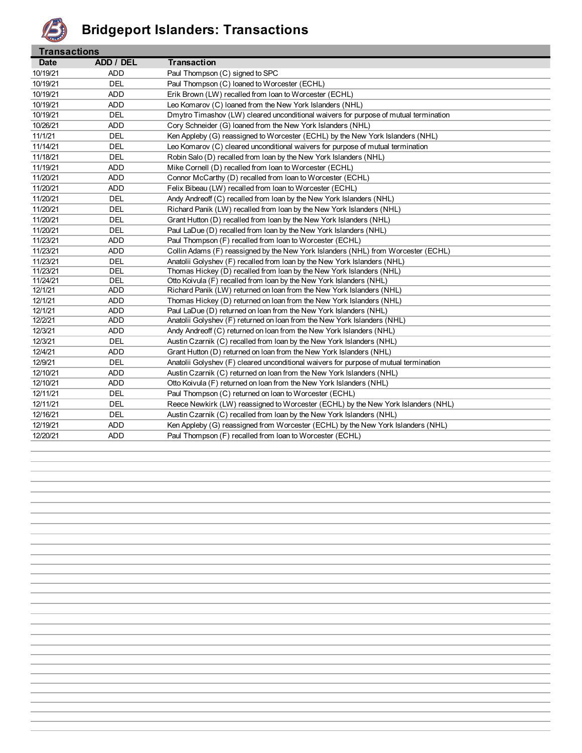

| <b>Transactions</b> |            |                                                                                       |
|---------------------|------------|---------------------------------------------------------------------------------------|
| <b>Date</b>         | ADD / DEL  | <b>Transaction</b>                                                                    |
| 10/19/21            | ADD        | Paul Thompson (C) signed to SPC                                                       |
| 10/19/21            | <b>DEL</b> | Paul Thompson (C) loaned to Worcester (ECHL)                                          |
| 10/19/21            | <b>ADD</b> | Erik Brown (LW) recalled from loan to Worcester (ECHL)                                |
| 10/19/21            | <b>ADD</b> | Leo Komarov (C) loaned from the New York Islanders (NHL)                              |
| 10/19/21            | <b>DEL</b> | Dmytro Timashov (LW) cleared unconditional waivers for purpose of mutual termination  |
| 10/26/21            | <b>ADD</b> | Cory Schneider (G) loaned from the New York Islanders (NHL)                           |
| 11/1/21             | <b>DEL</b> | Ken Appleby (G) reassigned to Worcester (ECHL) by the New York Islanders (NHL)        |
| 11/14/21            | DEL        | Leo Komarov (C) cleared unconditional waivers for purpose of mutual termination       |
| 11/18/21            | <b>DEL</b> | Robin Salo (D) recalled from Ioan by the New York Islanders (NHL)                     |
| 11/19/21            | <b>ADD</b> | Mike Cornell (D) recalled from loan to Worcester (ECHL)                               |
| 11/20/21            | <b>ADD</b> | Connor McCarthy (D) recalled from loan to Worcester (ECHL)                            |
| 11/20/21            | <b>ADD</b> | Felix Bibeau (LW) recalled from Ioan to Worcester (ECHL)                              |
| 11/20/21            | <b>DEL</b> | Andy Andreoff (C) recalled from loan by the New York Islanders (NHL)                  |
| 11/20/21            | <b>DEL</b> | Richard Panik (LW) recalled from loan by the New York Islanders (NHL)                 |
| 11/20/21            | <b>DEL</b> | Grant Hutton (D) recalled from Ioan by the New York Islanders (NHL)                   |
| 11/20/21            | <b>DEL</b> | Paul LaDue (D) recalled from loan by the New York Islanders (NHL)                     |
| 11/23/21            | <b>ADD</b> | Paul Thompson (F) recalled from loan to Worcester (ECHL)                              |
| 11/23/21            | <b>ADD</b> | Collin Adams (F) reassigned by the New York Islanders (NHL) from Worcester (ECHL)     |
| 11/23/21            | DEL        | Anatolii Golyshev (F) recalled from Ioan by the New York Islanders (NHL)              |
| 11/23/21            | <b>DEL</b> | Thomas Hickey (D) recalled from loan by the New York Islanders (NHL)                  |
| 11/24/21            | <b>DEL</b> | Otto Koivula (F) recalled from Ioan by the New York Islanders (NHL)                   |
| 12/1/21             | <b>ADD</b> | Richard Panik (LW) returned on loan from the New York Islanders (NHL)                 |
| 12/1/21             | <b>ADD</b> | Thomas Hickey (D) returned on loan from the New York Islanders (NHL)                  |
| 12/1/21             | <b>ADD</b> | Paul LaDue (D) returned on loan from the New York Islanders (NHL)                     |
| 12/2/21             | <b>ADD</b> | Anatolii Golyshev (F) returned on loan from the New York Islanders (NHL)              |
| 12/3/21             | <b>ADD</b> | Andy Andreoff (C) returned on loan from the New York Islanders (NHL)                  |
| 12/3/21             | <b>DEL</b> | Austin Czarnik (C) recalled from Ioan by the New York Islanders (NHL)                 |
| 12/4/21             | <b>ADD</b> | Grant Hutton (D) returned on loan from the New York Islanders (NHL)                   |
| 12/9/21             | <b>DEL</b> | Anatolii Golyshev (F) cleared unconditional waivers for purpose of mutual termination |
| 12/10/21            | <b>ADD</b> | Austin Czarnik (C) returned on loan from the New York Islanders (NHL)                 |
| 12/10/21            | <b>ADD</b> | Otto Koivula (F) returned on loan from the New York Islanders (NHL)                   |
| 12/11/21            | <b>DEL</b> | Paul Thompson (C) returned on loan to Worcester (ECHL)                                |
| 12/11/21            | <b>DEL</b> | Reece Newkirk (LW) reassigned to Worcester (ECHL) by the New York Islanders (NHL)     |
| 12/16/21            | <b>DEL</b> | Austin Czarnik (C) recalled from loan by the New York Islanders (NHL)                 |
| 12/19/21            | <b>ADD</b> | Ken Appleby (G) reassigned from Worcester (ECHL) by the New York Islanders (NHL)      |
| 12/20/21            | <b>ADD</b> | Paul Thompson (F) recalled from loan to Worcester (ECHL)                              |
|                     |            |                                                                                       |